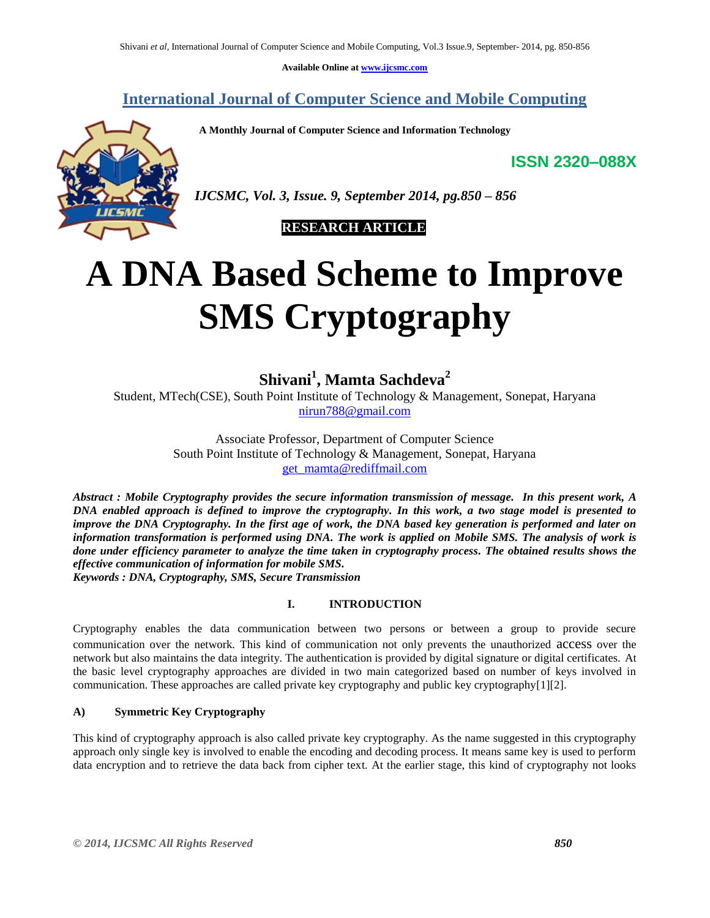**Available Online at [www.ijcsmc.com](http://www.ijcsmc.com/)**

## **International Journal of Computer Science and Mobile Computing**

 **A Monthly Journal of Computer Science and Information Technology**

**ISSN 2320–088X**



*IJCSMC, Vol. 3, Issue. 9, September 2014, pg.850 – 856*

## **RESEARCH ARTICLE**

# **A DNA Based Scheme to Improve SMS Cryptography**

**Shivani<sup>1</sup> , Mamta Sachdeva<sup>2</sup>**

Student, MTech(CSE), South Point Institute of Technology & Management, Sonepat, Haryana [nirun788@gmail.com](mailto:nirun788@gmail.com)

> Associate Professor, Department of Computer Science South Point Institute of Technology & Management, Sonepat, Haryana [get\\_mamta@rediffmail.com](mailto:get_mamta@rediffmail.com)

*Abstract : Mobile Cryptography provides the secure information transmission of message. In this present work, A DNA enabled approach is defined to improve the cryptography. In this work, a two stage model is presented to improve the DNA Cryptography. In the first age of work, the DNA based key generation is performed and later on information transformation is performed using DNA. The work is applied on Mobile SMS. The analysis of work is done under efficiency parameter to analyze the time taken in cryptography process. The obtained results shows the effective communication of information for mobile SMS. Keywords : DNA, Cryptography, SMS, Secure Transmission*

#### **I. INTRODUCTION**

Cryptography enables the data communication between two persons or between a group to provide secure communication over the network. This kind of communication not only prevents the unauthorized access over the network but also maintains the data integrity. The authentication is provided by digital signature or digital certificates. At the basic level cryptography approaches are divided in two main categorized based on number of keys involved in communication. These approaches are called private key cryptography and public key cryptography[1][2].

#### **A) Symmetric Key Cryptography**

This kind of cryptography approach is also called private key cryptography. As the name suggested in this cryptography approach only single key is involved to enable the encoding and decoding process. It means same key is used to perform data encryption and to retrieve the data back from cipher text. At the earlier stage, this kind of cryptography not looks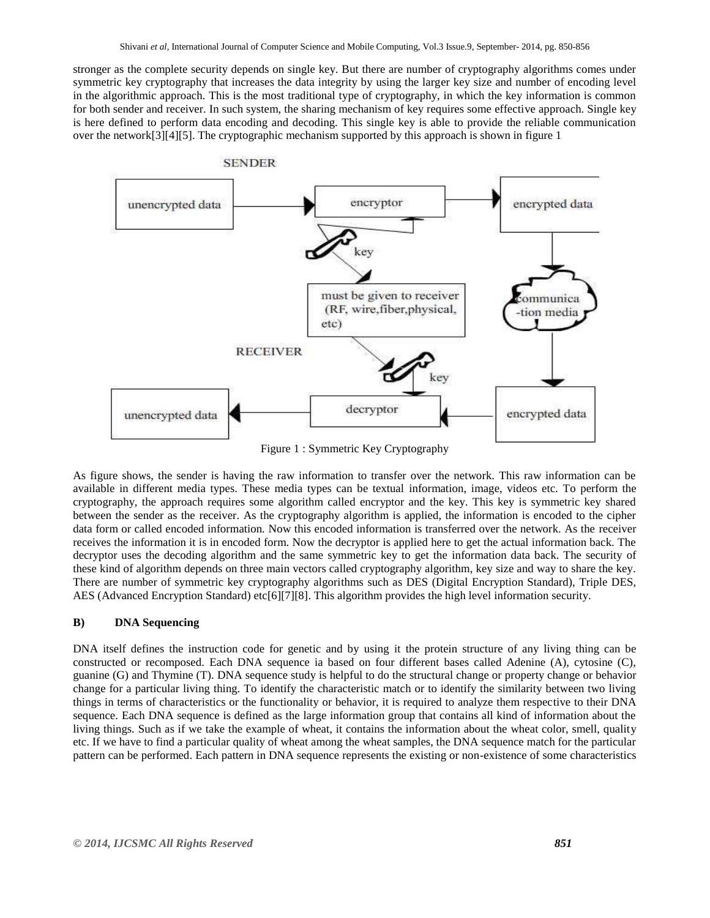stronger as the complete security depends on single key. But there are number of cryptography algorithms comes under symmetric key cryptography that increases the data integrity by using the larger key size and number of encoding level in the algorithmic approach. This is the most traditional type of cryptography, in which the key information is common for both sender and receiver. In such system, the sharing mechanism of key requires some effective approach. Single key is here defined to perform data encoding and decoding. This single key is able to provide the reliable communication over the network[3][4][5]. The cryptographic mechanism supported by this approach is shown in figure 1



Figure 1 : Symmetric Key Cryptography

As figure shows, the sender is having the raw information to transfer over the network. This raw information can be available in different media types. These media types can be textual information, image, videos etc. To perform the cryptography, the approach requires some algorithm called encryptor and the key. This key is symmetric key shared between the sender as the receiver. As the cryptography algorithm is applied, the information is encoded to the cipher data form or called encoded information. Now this encoded information is transferred over the network. As the receiver receives the information it is in encoded form. Now the decryptor is applied here to get the actual information back. The decryptor uses the decoding algorithm and the same symmetric key to get the information data back. The security of these kind of algorithm depends on three main vectors called cryptography algorithm, key size and way to share the key. There are number of symmetric key cryptography algorithms such as DES (Digital Encryption Standard), Triple DES, AES (Advanced Encryption Standard) etc[6][7][8]. This algorithm provides the high level information security.

#### **B) DNA Sequencing**

DNA itself defines the instruction code for genetic and by using it the protein structure of any living thing can be constructed or recomposed. Each DNA sequence ia based on four different bases called Adenine (A), cytosine (C), guanine (G) and Thymine (T). DNA sequence study is helpful to do the structural change or property change or behavior change for a particular living thing. To identify the characteristic match or to identify the similarity between two living things in terms of characteristics or the functionality or behavior, it is required to analyze them respective to their DNA sequence. Each DNA sequence is defined as the large information group that contains all kind of information about the living things. Such as if we take the example of wheat, it contains the information about the wheat color, smell, quality etc. If we have to find a particular quality of wheat among the wheat samples, the DNA sequence match for the particular pattern can be performed. Each pattern in DNA sequence represents the existing or non-existence of some characteristics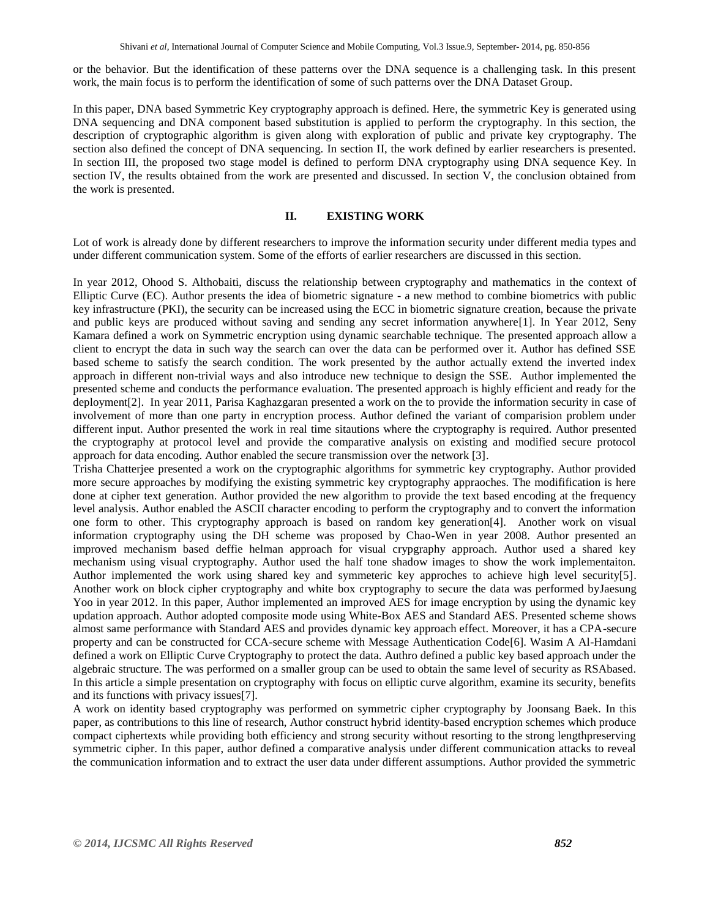or the behavior. But the identification of these patterns over the DNA sequence is a challenging task. In this present work, the main focus is to perform the identification of some of such patterns over the DNA Dataset Group.

In this paper, DNA based Symmetric Key cryptography approach is defined. Here, the symmetric Key is generated using DNA sequencing and DNA component based substitution is applied to perform the cryptography. In this section, the description of cryptographic algorithm is given along with exploration of public and private key cryptography. The section also defined the concept of DNA sequencing. In section II, the work defined by earlier researchers is presented. In section III, the proposed two stage model is defined to perform DNA cryptography using DNA sequence Key. In section IV, the results obtained from the work are presented and discussed. In section V, the conclusion obtained from the work is presented.

#### **II. EXISTING WORK**

Lot of work is already done by different researchers to improve the information security under different media types and under different communication system. Some of the efforts of earlier researchers are discussed in this section.

In year 2012, Ohood S. Althobaiti, discuss the relationship between cryptography and mathematics in the context of Elliptic Curve (EC). Author presents the idea of biometric signature - a new method to combine biometrics with public key infrastructure (PKI), the security can be increased using the ECC in biometric signature creation, because the private and public keys are produced without saving and sending any secret information anywhere[1]. In Year 2012, Seny Kamara defined a work on Symmetric encryption using dynamic searchable technique. The presented approach allow a client to encrypt the data in such way the search can over the data can be performed over it. Author has defined SSE based scheme to satisfy the search condition. The work presented by the author actually extend the inverted index approach in different non-trivial ways and also introduce new technique to design the SSE. Author implemented the presented scheme and conducts the performance evaluation. The presented approach is highly efficient and ready for the deployment[2]. In year 2011, Parisa Kaghazgaran presented a work on the to provide the information security in case of involvement of more than one party in encryption process. Author defined the variant of comparision problem under different input. Author presented the work in real time sitautions where the cryptography is required. Author presented the cryptography at protocol level and provide the comparative analysis on existing and modified secure protocol approach for data encoding. Author enabled the secure transmission over the network [3].

Trisha Chatterjee presented a work on the cryptographic algorithms for symmetric key cryptography. Author provided more secure approaches by modifying the existing symmetric key cryptography appraoches. The modifification is here done at cipher text generation. Author provided the new algorithm to provide the text based encoding at the frequency level analysis. Author enabled the ASCII character encoding to perform the cryptography and to convert the information one form to other. This cryptography approach is based on random key generation[4]. Another work on visual information cryptography using the DH scheme was proposed by Chao-Wen in year 2008. Author presented an improved mechanism based deffie helman approach for visual crypgraphy approach. Author used a shared key mechanism using visual cryptography. Author used the half tone shadow images to show the work implementaiton. Author implemented the work using shared key and symmeteric key approches to achieve high level security[5]. Another work on block cipher cryptography and white box cryptography to secure the data was performed byJaesung Yoo in year 2012. In this paper, Author implemented an improved AES for image encryption by using the dynamic key updation approach. Author adopted composite mode using White-Box AES and Standard AES. Presented scheme shows almost same performance with Standard AES and provides dynamic key approach effect. Moreover, it has a CPA-secure property and can be constructed for CCA-secure scheme with Message Authentication Code[6]. Wasim A Al-Hamdani defined a work on Elliptic Curve Cryptography to protect the data. Authro defined a public key based approach under the algebraic structure. The was performed on a smaller group can be used to obtain the same level of security as RSAbased. In this article a simple presentation on cryptography with focus on elliptic curve algorithm, examine its security, benefits and its functions with privacy issues[7].

A work on identity based cryptography was performed on symmetric cipher cryptography by Joonsang Baek. In this paper, as contributions to this line of research, Author construct hybrid identity-based encryption schemes which produce compact ciphertexts while providing both efficiency and strong security without resorting to the strong lengthpreserving symmetric cipher. In this paper, author defined a comparative analysis under different communication attacks to reveal the communication information and to extract the user data under different assumptions. Author provided the symmetric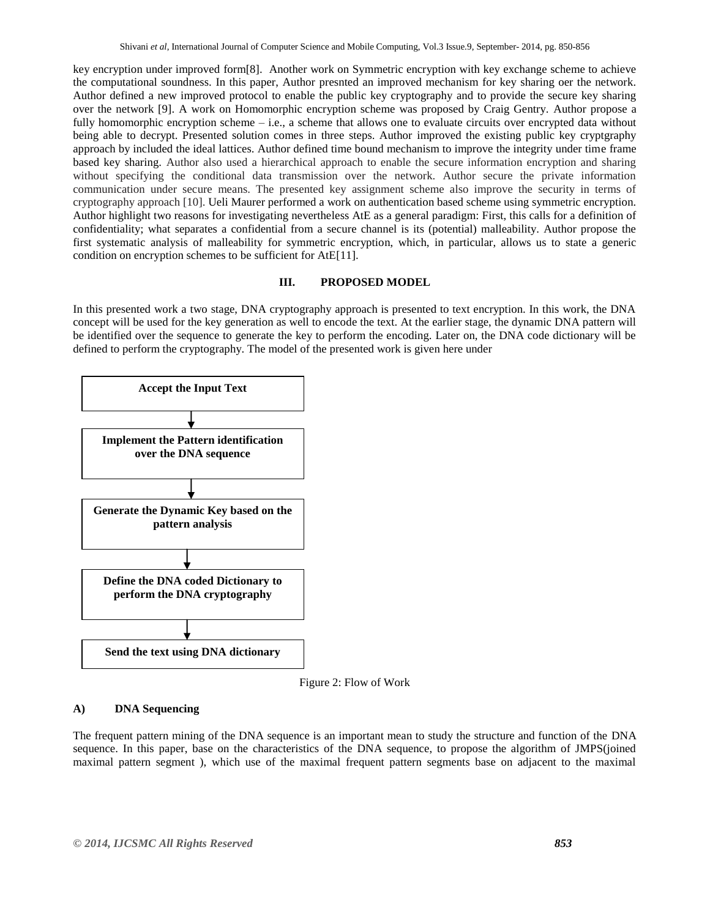key encryption under improved form[8]. Another work on Symmetric encryption with key exchange scheme to achieve the computational soundness. In this paper, Author presnted an improved mechanism for key sharing oer the network. Author defined a new improved protocol to enable the public key cryptography and to provide the secure key sharing over the network [9]. A work on Homomorphic encryption scheme was proposed by Craig Gentry. Author propose a fully homomorphic encryption scheme – i.e., a scheme that allows one to evaluate circuits over encrypted data without being able to decrypt. Presented solution comes in three steps. Author improved the existing public key cryptgraphy approach by included the ideal lattices. Author defined time bound mechanism to improve the integrity under time frame based key sharing. Author also used a hierarchical approach to enable the secure information encryption and sharing without specifying the conditional data transmission over the network. Author secure the private information communication under secure means. The presented key assignment scheme also improve the security in terms of cryptography approach [10]. Ueli Maurer performed a work on authentication based scheme using symmetric encryption. Author highlight two reasons for investigating nevertheless AtE as a general paradigm: First, this calls for a definition of confidentiality; what separates a confidential from a secure channel is its (potential) malleability. Author propose the first systematic analysis of malleability for symmetric encryption, which, in particular, allows us to state a generic condition on encryption schemes to be sufficient for AtE[11].

#### **III. PROPOSED MODEL**

In this presented work a two stage, DNA cryptography approach is presented to text encryption. In this work, the DNA concept will be used for the key generation as well to encode the text. At the earlier stage, the dynamic DNA pattern will be identified over the sequence to generate the key to perform the encoding. Later on, the DNA code dictionary will be defined to perform the cryptography. The model of the presented work is given here under



Figure 2: Flow of Work

#### **A) DNA Sequencing**

The frequent pattern mining of the DNA sequence is an important mean to study the structure and function of the DNA sequence. In this paper, base on the characteristics of the DNA sequence, to propose the algorithm of JMPS(joined maximal pattern segment ), which use of the maximal frequent pattern segments base on adjacent to the maximal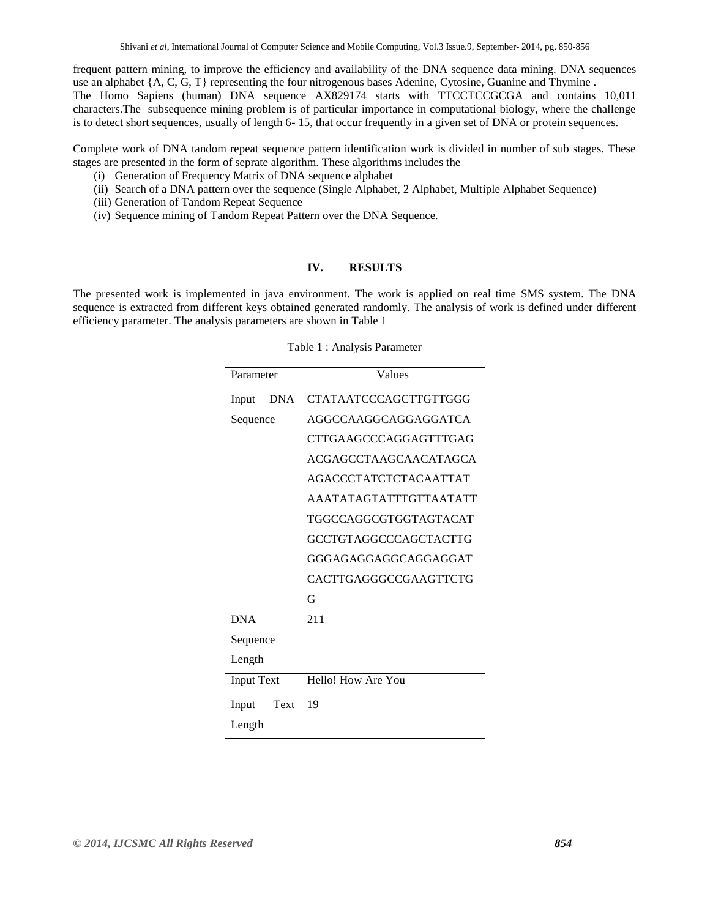frequent pattern mining, to improve the efficiency and availability of the DNA sequence data mining. DNA sequences use an alphabet {A, C, G, T} representing the four nitrogenous bases Adenine, Cytosine, Guanine and Thymine . The Homo Sapiens (human) DNA sequence AX829174 starts with TTCCTCCGCGA and contains 10,011 characters.The subsequence mining problem is of particular importance in computational biology, where the challenge is to detect short sequences, usually of length 6- 15, that occur frequently in a given set of DNA or protein sequences.

Complete work of DNA tandom repeat sequence pattern identification work is divided in number of sub stages. These stages are presented in the form of seprate algorithm. These algorithms includes the

- (i) Generation of Frequency Matrix of DNA sequence alphabet
- (ii) Search of a DNA pattern over the sequence (Single Alphabet, 2 Alphabet, Multiple Alphabet Sequence)
- (iii) Generation of Tandom Repeat Sequence
- (iv) Sequence mining of Tandom Repeat Pattern over the DNA Sequence.

#### **IV. RESULTS**

The presented work is implemented in java environment. The work is applied on real time SMS system. The DNA sequence is extracted from different keys obtained generated randomly. The analysis of work is defined under different efficiency parameter. The analysis parameters are shown in Table 1

| Parameter           | Values                       |  |  |  |
|---------------------|------------------------------|--|--|--|
| <b>DNA</b><br>Input | CTATAATCCCAGCTTGTTGGG        |  |  |  |
| Sequence            | AGGCCAAGGCAGGAGGATCA         |  |  |  |
|                     | CTTGAAGCCCAGGAGTTTGAG        |  |  |  |
|                     | <b>ACGAGCCTAAGCAACATAGCA</b> |  |  |  |
|                     | <b>AGACCCTATCTCTACAATTAT</b> |  |  |  |
|                     | AAATATAGTATTTGTTAATATT       |  |  |  |
|                     | TGGCCAGGCGTGGTAGTACAT        |  |  |  |
|                     | GCCTGTAGGCCCAGCTACTTG        |  |  |  |
|                     | GGGAGAGGAGGCAGGAGGAT         |  |  |  |
|                     | CACTTGAGGGCCGAAGTTCTG        |  |  |  |
|                     | G                            |  |  |  |
| <b>DNA</b>          | 211                          |  |  |  |
| Sequence            |                              |  |  |  |
| Length              |                              |  |  |  |
| <b>Input Text</b>   | Hello! How Are You           |  |  |  |
| Input<br>Text       | 19                           |  |  |  |
| Length              |                              |  |  |  |

Table 1 : Analysis Parameter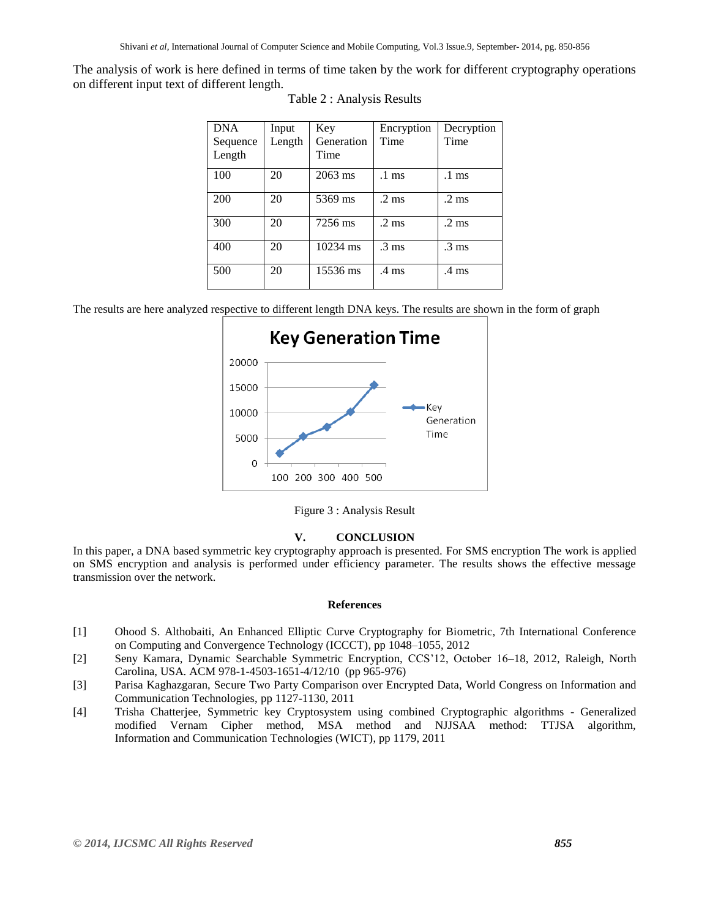The analysis of work is here defined in terms of time taken by the work for different cryptography operations on different input text of different length.

| <b>DNA</b> | Input  | Key                | Encryption       | Decryption       |
|------------|--------|--------------------|------------------|------------------|
| Sequence   | Length | Generation         | Time             | Time             |
| Length     |        | Time               |                  |                  |
| 100        | 20     | $2063$ ms          | $.1 \text{ ms}$  | $.1 \text{ ms}$  |
| 200        | 20     | 5369 ms            | $.2 \text{ ms}$  | $.2 \text{ ms}$  |
| 300        | 20     | 7256 ms            | $.2 \text{ ms}$  | $.2 \text{ ms}$  |
| 400        | 20     | $10234 \text{ ms}$ | $\frac{3}{3}$ ms | $\mathcal{A}$ ms |
| 500        | 20     | 15536 ms           | .4 ms            | .4 ms            |

The results are here analyzed respective to different length DNA keys. The results are shown in the form of graph



Figure 3 : Analysis Result

### **V. CONCLUSION**

In this paper, a DNA based symmetric key cryptography approach is presented. For SMS encryption The work is applied on SMS encryption and analysis is performed under efficiency parameter. The results shows the effective message transmission over the network.

#### **References**

- [1] Ohood S. Althobaiti, An Enhanced Elliptic Curve Cryptography for Biometric, [7th International Conference](http://ieeexplore.ieee.org/xpl/mostRecentIssue.jsp?punumber=6495744)  [on](http://ieeexplore.ieee.org/xpl/mostRecentIssue.jsp?punumber=6495744) [Computing and Convergence Technology \(ICCCT\),](http://ieeexplore.ieee.org/xpl/mostRecentIssue.jsp?punumber=6495744) pp 1048–1055, 2012
- [2] Seny Kamara, Dynamic Searchable Symmetric Encryption, CCS'12, October 16–18, 2012, Raleigh, North Carolina, USA. ACM 978-1-4503-1651-4/12/10 (pp 965-976)
- [3] Parisa Kaghazgaran, Secure Two Party Comparison over Encrypted Data, World Congress on Information and Communication Technologies, pp 1127-1130, 2011
- [4] Trisha Chatterjee, Symmetric key Cryptosystem using combined Cryptographic algorithms Generalized modified Vernam Cipher method, MSA method and NJJSAA method: TTJSA algorithm, Information and [Communication Technologies \(WICT\),](http://ieeexplore.ieee.org/xpl/mostRecentIssue.jsp?punumber=6132196) pp 1179, 2011